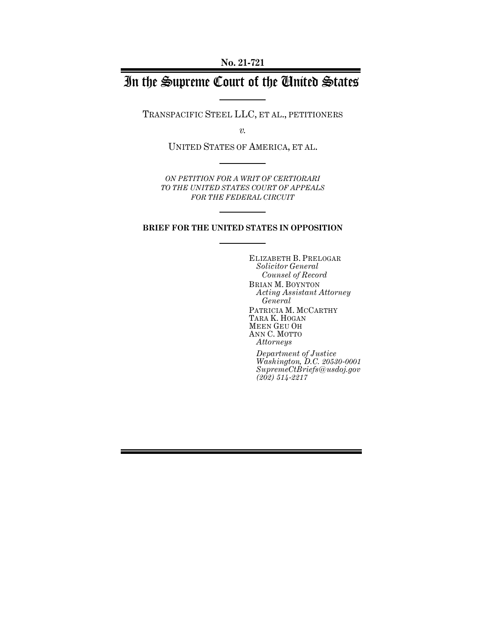# In the Supreme Court of the United States

TRANSPACIFIC STEEL LLC, ET AL., PETITIONERS

*v.*

UNITED STATES OF AMERICA, ET AL.

*ON PETITION FOR A WRIT OF CERTIORARI TO THE UNITED STATES COURT OF APPEALS FOR THE FEDERAL CIRCUIT*

## **BRIEF FOR THE UNITED STATES IN OPPOSITION**

ELIZABETH B. PRELOGAR *Solicitor General Counsel of Record* BRIAN M. BOYNTON *Acting Assistant Attorney General* PATRICIA M. MCCARTHY TARA K. HOGAN MEEN GEU OH ANN C. MOTTO *Attorneys*

*Department of Justice Washington, D.C. 20530-0001 SupremeCtBriefs@usdoj.gov (202) 514-2217*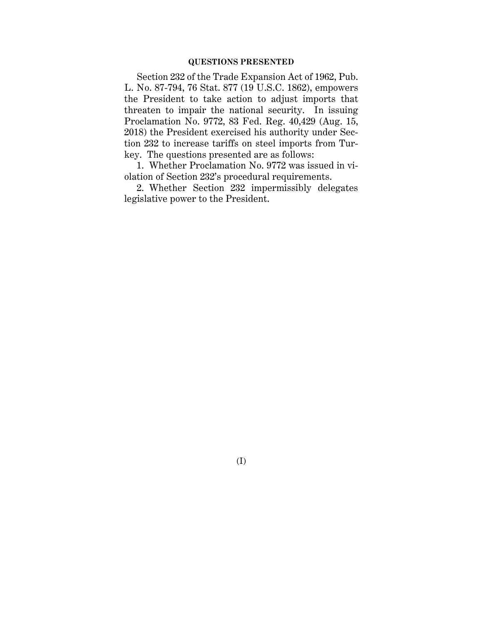# **QUESTIONS PRESENTED**

Section 232 of the Trade Expansion Act of 1962, Pub. L. No. 87-794, 76 Stat. 877 (19 U.S.C. 1862), empowers the President to take action to adjust imports that threaten to impair the national security. In issuing Proclamation No. 9772, 83 Fed. Reg. 40,429 (Aug. 15, 2018) the President exercised his authority under Section 232 to increase tariffs on steel imports from Turkey. The questions presented are as follows:

1. Whether Proclamation No. 9772 was issued in violation of Section 232's procedural requirements.

2. Whether Section 232 impermissibly delegates legislative power to the President.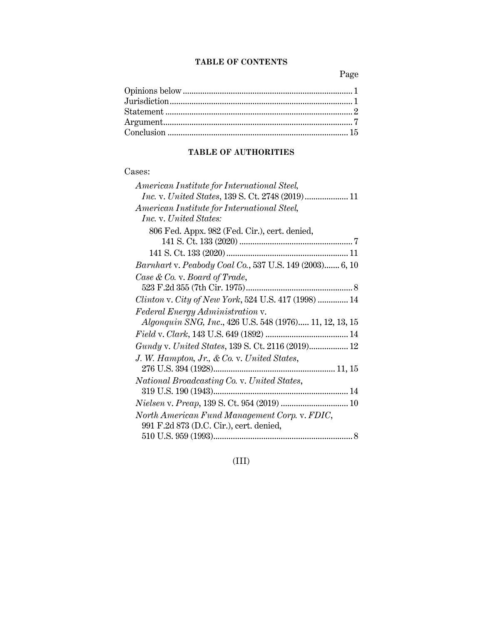# **TABLE OF CONTENTS**

Page

# **TABLE OF AUTHORITIES**

# Cases:

| American Institute for International Steel,                    |
|----------------------------------------------------------------|
|                                                                |
| American Institute for International Steel,                    |
| Inc. v. United States:                                         |
| 806 Fed. Appx. 982 (Fed. Cir.), cert. denied,                  |
|                                                                |
|                                                                |
| Barnhart v. Peabody Coal Co., 537 U.S. 149 (2003) 6, 10        |
| Case & Co. v. Board of Trade,                                  |
|                                                                |
| Clinton v. City of New York, 524 U.S. 417 (1998)  14           |
| Federal Energy Administration v.                               |
| <i>Algonquin SNG, Inc., 426 U.S. 548 (1976) 11, 12, 13, 15</i> |
|                                                                |
|                                                                |
| J. W. Hampton, Jr., & Co. v. United States,                    |
|                                                                |
| National Broadcasting Co. v. United States,                    |
|                                                                |
|                                                                |
| North American Fund Management Corp. v. FDIC,                  |
| 991 F.2d 873 (D.C. Cir.), cert. denied,                        |
|                                                                |

(III)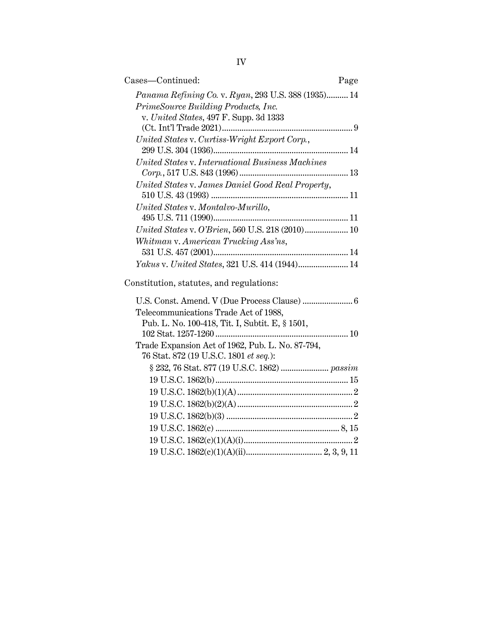| Cases-Continued:                                    | Page |
|-----------------------------------------------------|------|
| Panama Refining Co. v. Ryan, 293 U.S. 388 (1935) 14 |      |
| PrimeSource Building Products, Inc.                 |      |
| v. United States, 497 F. Supp. 3d 1333              |      |
|                                                     |      |
| United States v. Curtiss-Wright Export Corp.,       |      |
|                                                     |      |
| United States v. International Business Machines    |      |
|                                                     |      |
| United States v. James Daniel Good Real Property,   |      |
|                                                     |      |
| United States v. Montalvo-Murillo,                  |      |
|                                                     |      |
| United States v. O'Brien, 560 U.S. 218 (2010) 10    |      |
| Whitman v. American Trucking Ass'ns,                |      |
|                                                     |      |
| Yakus v. United States, 321 U.S. 414 (1944) 14      |      |
|                                                     |      |
| Constitution, statutes, and regulations:            |      |
|                                                     |      |
| Telecommunications Trade Act of 1988,               |      |
| Pub. L. No. 100-418, Tit. I, Subtit. E, § 1501,     |      |
|                                                     |      |
| Trade Expansion Act of 1962, Pub. L. No. 87-794,    |      |
| 76 Stat. 872 (19 U.S.C. 1801 et seq.):              |      |

§ 232, 76 Stat. 877 (19 U.S.C. 1862) ...................... *passim* 19 U.S.C. 1862(b)............................................................. 15 19 U.S.C. 1862(b)(1)(A)..................................................... 2 19 U.S.C. 1862(b)(2)(A)..................................................... 2 19 U.S.C. 1862(b)(3) .......................................................... 2 19 U.S.C. 1862(c) ......................................................... 8, 15 19 U.S.C. 1862(c)(1)(A)(i).................................................. 2 19 U.S.C. 1862(c)(1)(A)(ii)................................... 2, 3, 9, 11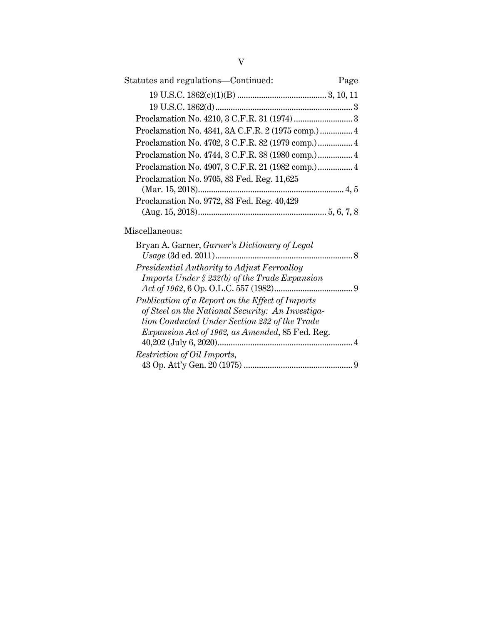| Statutes and regulations—Continued:                                                          | Page |
|----------------------------------------------------------------------------------------------|------|
|                                                                                              |      |
|                                                                                              |      |
|                                                                                              |      |
| Proclamation No. 4341, 3A C.F.R. 2 (1975 comp.)  4                                           |      |
| Proclamation No. 4702, 3 C.F.R. 82 (1979 comp.) 4                                            |      |
| Proclamation No. 4744, 3 C.F.R. 38 (1980 comp.) 4                                            |      |
| Proclamation No. 4907, 3 C.F.R. 21 (1982 comp.) 4                                            |      |
| Proclamation No. 9705, 83 Fed. Reg. 11,625                                                   |      |
| Proclamation No. 9772, 83 Fed. Reg. 40,429                                                   |      |
| Miscellaneous:                                                                               |      |
| Bryan A. Garner, Garner's Dictionary of Legal                                                |      |
|                                                                                              |      |
| Presidential Authority to Adjust Ferroalloy<br>Imports Under § 232(b) of the Trade Expansion |      |
|                                                                                              |      |
| Publication of a Report on the Effect of Imports                                             |      |
| of Steel on the National Security: An Investiga-                                             |      |
| tion Conducted Under Section 232 of the Trade                                                |      |
| <i>Expansion Act of 1962, as Amended, 85 Fed. Reg.</i>                                       |      |
|                                                                                              |      |
| Restriction of Oil Imports,                                                                  |      |
|                                                                                              |      |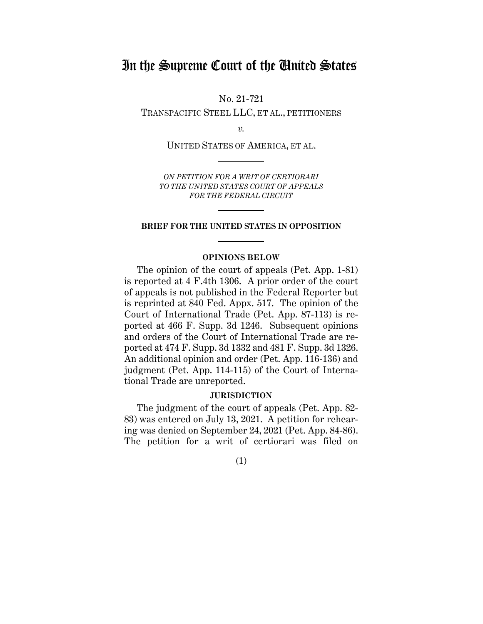# In the Supreme Court of the United States

No. 21-721

TRANSPACIFIC STEEL LLC, ET AL., PETITIONERS

*v.*

UNITED STATES OF AMERICA, ET AL.

*ON PETITION FOR A WRIT OF CERTIORARI TO THE UNITED STATES COURT OF APPEALS FOR THE FEDERAL CIRCUIT*

#### **BRIEF FOR THE UNITED STATES IN OPPOSITION**

## **OPINIONS BELOW**

The opinion of the court of appeals (Pet. App. 1-81) is reported at 4 F.4th 1306. A prior order of the court of appeals is not published in the Federal Reporter but is reprinted at 840 Fed. Appx. 517. The opinion of the Court of International Trade (Pet. App. 87-113) is reported at 466 F. Supp. 3d 1246. Subsequent opinions and orders of the Court of International Trade are reported at 474 F. Supp. 3d 1332 and 481 F. Supp. 3d 1326. An additional opinion and order (Pet. App. 116-136) and judgment (Pet. App. 114-115) of the Court of International Trade are unreported.

### **JURISDICTION**

The judgment of the court of appeals (Pet. App. 82- 83) was entered on July 13, 2021. A petition for rehearing was denied on September 24, 2021 (Pet. App. 84-86). The petition for a writ of certiorari was filed on

(1)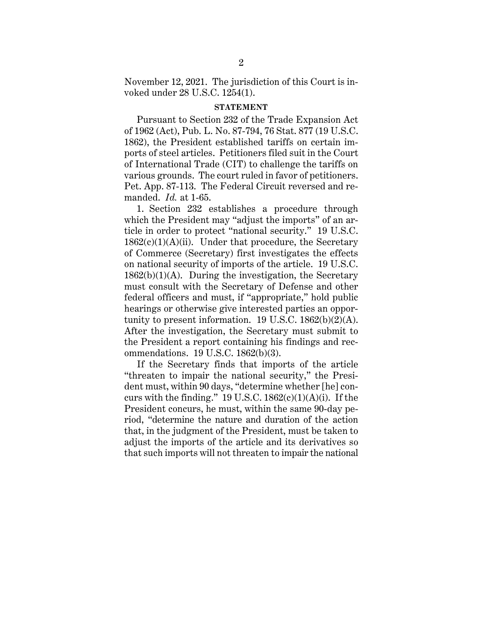November 12, 2021. The jurisdiction of this Court is invoked under 28 U.S.C. 1254(1).

#### **STATEMENT**

Pursuant to Section 232 of the Trade Expansion Act of 1962 (Act), Pub. L. No. 87-794, 76 Stat. 877 (19 U.S.C. 1862), the President established tariffs on certain imports of steel articles. Petitioners filed suit in the Court of International Trade (CIT) to challenge the tariffs on various grounds. The court ruled in favor of petitioners. Pet. App. 87-113. The Federal Circuit reversed and remanded. *Id.* at 1-65.

1. Section 232 establishes a procedure through which the President may "adjust the imports" of an article in order to protect "national security." 19 U.S.C.  $1862(c)(1)(A)(ii)$ . Under that procedure, the Secretary of Commerce (Secretary) first investigates the effects on national security of imports of the article. 19 U.S.C.  $1862(b)(1)(A)$ . During the investigation, the Secretary must consult with the Secretary of Defense and other federal officers and must, if "appropriate," hold public hearings or otherwise give interested parties an opportunity to present information. 19 U.S.C.  $1862(b)(2)(A)$ . After the investigation, the Secretary must submit to the President a report containing his findings and recommendations. 19 U.S.C. 1862(b)(3).

If the Secretary finds that imports of the article "threaten to impair the national security," the President must, within 90 days, "determine whether [he] concurs with the finding." 19 U.S.C.  $1862(c)(1)(A)(i)$ . If the President concurs, he must, within the same 90-day period, "determine the nature and duration of the action that, in the judgment of the President, must be taken to adjust the imports of the article and its derivatives so that such imports will not threaten to impair the national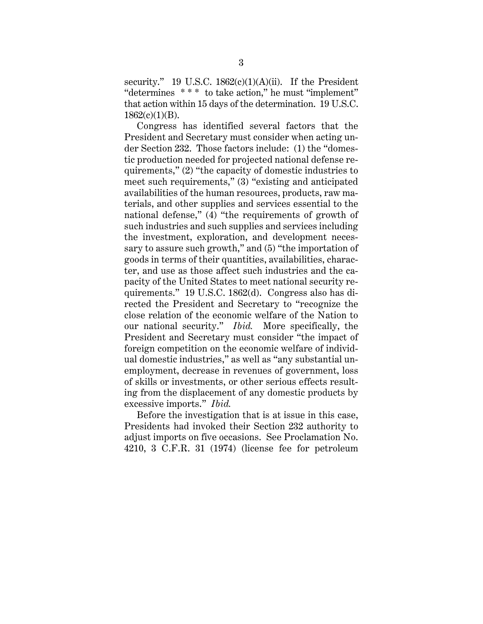security." 19 U.S.C. 1862(c)(1)(A)(ii). If the President "determines \* \* \* to take action," he must "implement" that action within 15 days of the determination. 19 U.S.C.  $1862(c)(1)(B)$ .

Congress has identified several factors that the President and Secretary must consider when acting under Section 232. Those factors include: (1) the "domestic production needed for projected national defense requirements," (2) "the capacity of domestic industries to meet such requirements," (3) "existing and anticipated availabilities of the human resources, products, raw materials, and other supplies and services essential to the national defense," (4) "the requirements of growth of such industries and such supplies and services including the investment, exploration, and development necessary to assure such growth," and (5) "the importation of goods in terms of their quantities, availabilities, character, and use as those affect such industries and the capacity of the United States to meet national security requirements." 19 U.S.C. 1862(d). Congress also has directed the President and Secretary to "recognize the close relation of the economic welfare of the Nation to our national security." *Ibid.* More specifically, the President and Secretary must consider "the impact of foreign competition on the economic welfare of individual domestic industries," as well as "any substantial unemployment, decrease in revenues of government, loss of skills or investments, or other serious effects resulting from the displacement of any domestic products by excessive imports." *Ibid.*

Before the investigation that is at issue in this case, Presidents had invoked their Section 232 authority to adjust imports on five occasions. See Proclamation No. 4210, 3 C.F.R. 31 (1974) (license fee for petroleum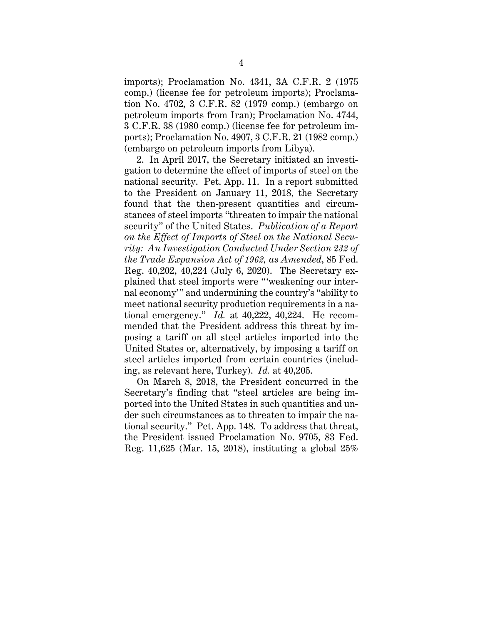imports); Proclamation No. 4341, 3A C.F.R. 2 (1975 comp.) (license fee for petroleum imports); Proclamation No. 4702, 3 C.F.R. 82 (1979 comp.) (embargo on petroleum imports from Iran); Proclamation No. 4744, 3 C.F.R. 38 (1980 comp.) (license fee for petroleum imports); Proclamation No. 4907, 3 C.F.R. 21 (1982 comp.) (embargo on petroleum imports from Libya).

2. In April 2017, the Secretary initiated an investigation to determine the effect of imports of steel on the national security. Pet. App. 11. In a report submitted to the President on January 11, 2018, the Secretary found that the then-present quantities and circumstances of steel imports "threaten to impair the national security" of the United States. *Publication of a Report on the Effect of Imports of Steel on the National Security: An Investigation Conducted Under Section 232 of the Trade Expansion Act of 1962, as Amended*, 85 Fed. Reg. 40,202, 40,224 (July 6, 2020). The Secretary explained that steel imports were "'weakening our internal economy'" and undermining the country's "ability to meet national security production requirements in a national emergency." *Id.* at 40,222, 40,224. He recommended that the President address this threat by imposing a tariff on all steel articles imported into the United States or, alternatively, by imposing a tariff on steel articles imported from certain countries (including, as relevant here, Turkey). *Id.* at 40,205.

On March 8, 2018, the President concurred in the Secretary's finding that "steel articles are being imported into the United States in such quantities and under such circumstances as to threaten to impair the national security." Pet. App. 148. To address that threat, the President issued Proclamation No. 9705, 83 Fed. Reg. 11,625 (Mar. 15, 2018), instituting a global 25%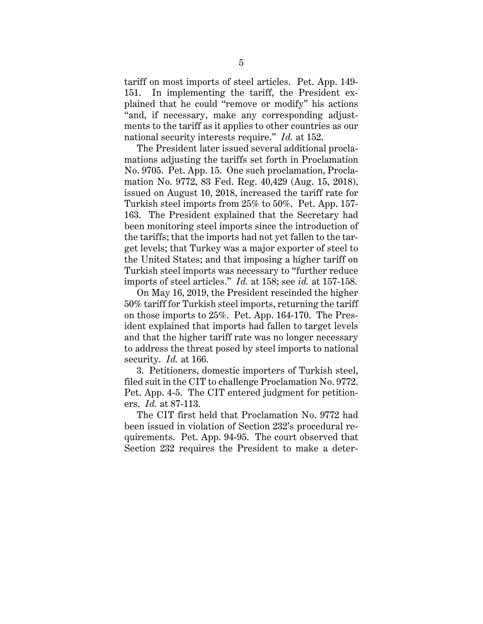tariff on most imports of steel articles. Pet. App. 149- 151. In implementing the tariff, the President explained that he could "remove or modify" his actions "and, if necessary, make any corresponding adjustments to the tariff as it applies to other countries as our national security interests require." *Id.* at 152.

The President later issued several additional proclamations adjusting the tariffs set forth in Proclamation No. 9705. Pet. App. 15. One such proclamation, Proclamation No. 9772, 83 Fed. Reg. 40,429 (Aug. 15, 2018), issued on August 10, 2018, increased the tariff rate for Turkish steel imports from 25% to 50%. Pet. App. 157- 163. The President explained that the Secretary had been monitoring steel imports since the introduction of the tariffs; that the imports had not yet fallen to the target levels; that Turkey was a major exporter of steel to the United States; and that imposing a higher tariff on Turkish steel imports was necessary to "further reduce imports of steel articles." *Id.* at 158; see *id.* at 157-158.

On May 16, 2019, the President rescinded the higher 50% tariff for Turkish steel imports, returning the tariff on those imports to 25%. Pet. App. 164-170. The President explained that imports had fallen to target levels and that the higher tariff rate was no longer necessary to address the threat posed by steel imports to national security. *Id.* at 166.

3. Petitioners, domestic importers of Turkish steel, filed suit in the CIT to challenge Proclamation No. 9772. Pet. App. 4-5. The CIT entered judgment for petitioners. *Id.* at 87-113.

The CIT first held that Proclamation No. 9772 had been issued in violation of Section 232's procedural requirements. Pet. App. 94-95. The court observed that Section 232 requires the President to make a deter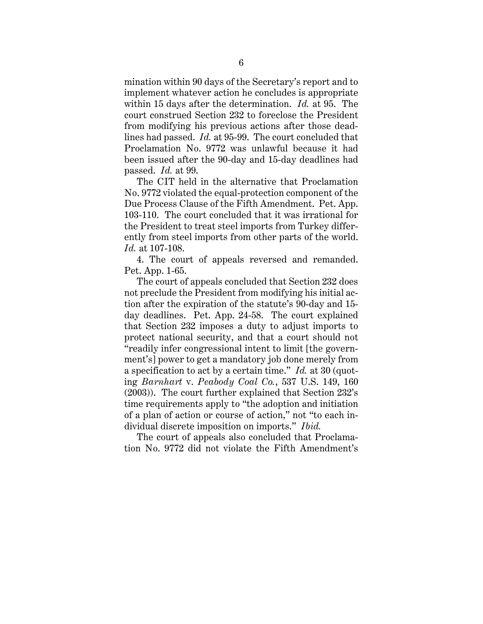mination within 90 days of the Secretary's report and to implement whatever action he concludes is appropriate within 15 days after the determination. *Id.* at 95. The court construed Section 232 to foreclose the President from modifying his previous actions after those deadlines had passed. *Id.* at 95-99. The court concluded that Proclamation No. 9772 was unlawful because it had been issued after the 90-day and 15-day deadlines had passed. *Id.* at 99.

The CIT held in the alternative that Proclamation No. 9772 violated the equal-protection component of the Due Process Clause of the Fifth Amendment. Pet. App. 103-110. The court concluded that it was irrational for the President to treat steel imports from Turkey differently from steel imports from other parts of the world. *Id.* at 107-108.

4. The court of appeals reversed and remanded. Pet. App. 1-65.

The court of appeals concluded that Section 232 does not preclude the President from modifying his initial action after the expiration of the statute's 90-day and 15 day deadlines. Pet. App. 24-58. The court explained that Section 232 imposes a duty to adjust imports to protect national security, and that a court should not "readily infer congressional intent to limit [the government's] power to get a mandatory job done merely from a specification to act by a certain time." *Id.* at 30 (quoting *Barnhart* v. *Peabody Coal Co.*, 537 U.S. 149, 160 (2003)). The court further explained that Section 232's time requirements apply to "the adoption and initiation of a plan of action or course of action," not "to each individual discrete imposition on imports." *Ibid.*

The court of appeals also concluded that Proclamation No. 9772 did not violate the Fifth Amendment's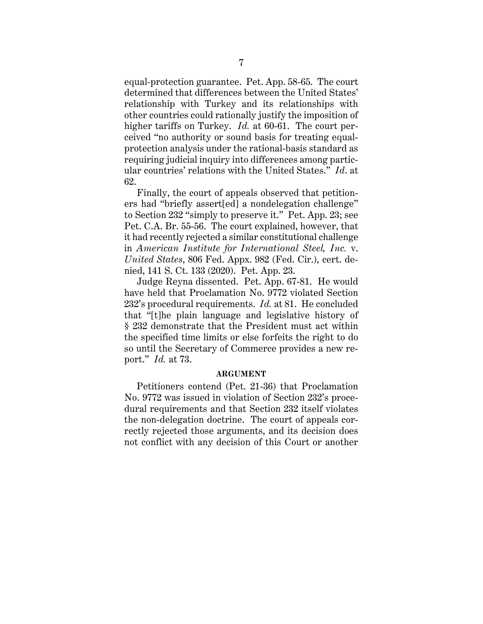equal-protection guarantee. Pet. App. 58-65. The court determined that differences between the United States' relationship with Turkey and its relationships with other countries could rationally justify the imposition of higher tariffs on Turkey. *Id.* at 60-61. The court perceived "no authority or sound basis for treating equalprotection analysis under the rational-basis standard as requiring judicial inquiry into differences among particular countries' relations with the United States." *Id*. at 62.

Finally, the court of appeals observed that petitioners had "briefly assert[ed] a nondelegation challenge" to Section 232 "simply to preserve it." Pet. App. 23; see Pet. C.A. Br. 55-56. The court explained, however, that it had recently rejected a similar constitutional challenge in *American Institute for International Steel, Inc.* v. *United States*, 806 Fed. Appx. 982 (Fed. Cir.), cert. denied, 141 S. Ct. 133 (2020). Pet. App. 23.

Judge Reyna dissented. Pet. App. 67-81. He would have held that Proclamation No. 9772 violated Section 232's procedural requirements. *Id.* at 81. He concluded that "[t]he plain language and legislative history of § 232 demonstrate that the President must act within the specified time limits or else forfeits the right to do so until the Secretary of Commerce provides a new report." *Id.* at 73.

### **ARGUMENT**

Petitioners contend (Pet. 21-36) that Proclamation No. 9772 was issued in violation of Section 232's procedural requirements and that Section 232 itself violates the non-delegation doctrine. The court of appeals correctly rejected those arguments, and its decision does not conflict with any decision of this Court or another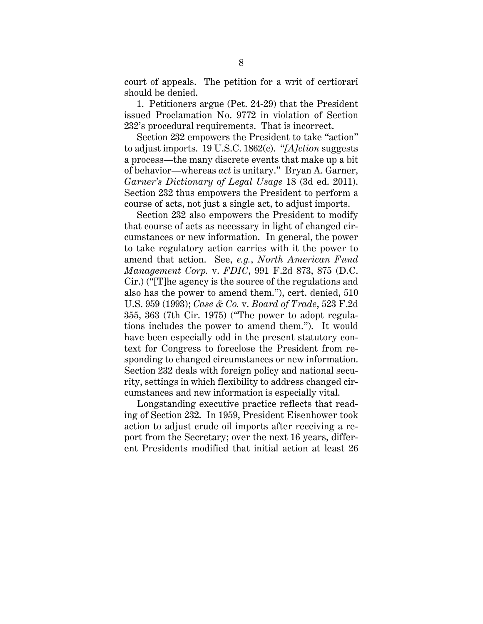court of appeals. The petition for a writ of certiorari should be denied.

1. Petitioners argue (Pet. 24-29) that the President issued Proclamation No. 9772 in violation of Section 232's procedural requirements. That is incorrect.

Section 232 empowers the President to take "action" to adjust imports. 19 U.S.C. 1862(c). "*[A]ction* suggests a process—the many discrete events that make up a bit of behavior—whereas *act* is unitary." Bryan A. Garner, *Garner's Dictionary of Legal Usage* 18 (3d ed. 2011). Section 232 thus empowers the President to perform a course of acts, not just a single act, to adjust imports.

Section 232 also empowers the President to modify that course of acts as necessary in light of changed circumstances or new information. In general, the power to take regulatory action carries with it the power to amend that action. See, *e.g.*, *North American Fund Management Corp.* v. *FDIC*, 991 F.2d 873, 875 (D.C. Cir.) ("[T]he agency is the source of the regulations and also has the power to amend them."), cert. denied, 510 U.S. 959 (1993); *Case & Co.* v. *Board of Trade*, 523 F.2d 355, 363 (7th Cir. 1975) ("The power to adopt regulations includes the power to amend them."). It would have been especially odd in the present statutory context for Congress to foreclose the President from responding to changed circumstances or new information. Section 232 deals with foreign policy and national security, settings in which flexibility to address changed circumstances and new information is especially vital.

Longstanding executive practice reflects that reading of Section 232. In 1959, President Eisenhower took action to adjust crude oil imports after receiving a report from the Secretary; over the next 16 years, different Presidents modified that initial action at least 26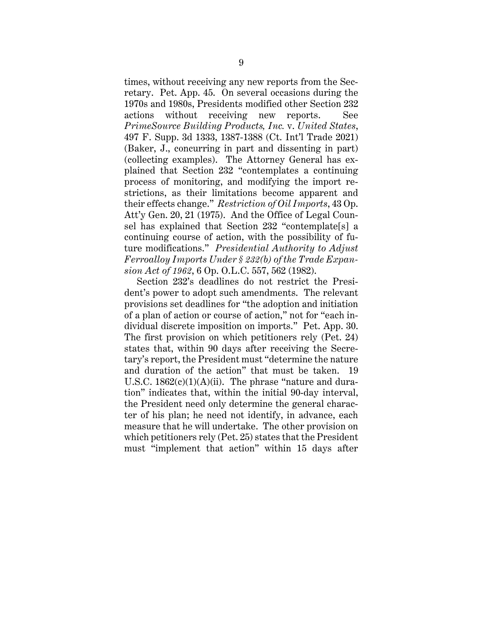times, without receiving any new reports from the Secretary. Pet. App. 45. On several occasions during the 1970s and 1980s, Presidents modified other Section 232 actions without receiving new reports. See *PrimeSource Building Products, Inc.* v. *United States*, 497 F. Supp. 3d 1333, 1387-1388 (Ct. Int'l Trade 2021) (Baker, J., concurring in part and dissenting in part) (collecting examples). The Attorney General has explained that Section 232 "contemplates a continuing process of monitoring, and modifying the import restrictions, as their limitations become apparent and their effects change." *Restriction of Oil Imports*, 43 Op. Att'y Gen. 20, 21 (1975). And the Office of Legal Counsel has explained that Section 232 "contemplate[s] a continuing course of action, with the possibility of future modifications." *Presidential Authority to Adjust Ferroalloy Imports Under § 232(b) of the Trade Expansion Act of 1962*, 6 Op. O.L.C. 557, 562 (1982).

Section 232's deadlines do not restrict the President's power to adopt such amendments. The relevant provisions set deadlines for "the adoption and initiation of a plan of action or course of action," not for "each individual discrete imposition on imports." Pet. App. 30. The first provision on which petitioners rely (Pet. 24) states that, within 90 days after receiving the Secretary's report, the President must "determine the nature and duration of the action" that must be taken. 19 U.S.C.  $1862(c)(1)(A)(ii)$ . The phrase "nature and duration" indicates that, within the initial 90-day interval, the President need only determine the general character of his plan; he need not identify, in advance, each measure that he will undertake. The other provision on which petitioners rely (Pet. 25) states that the President must "implement that action" within 15 days after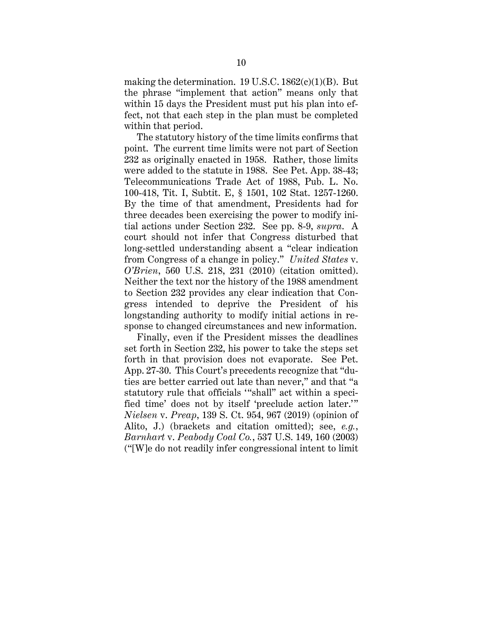making the determination. 19 U.S.C.  $1862(c)(1)(B)$ . But the phrase "implement that action" means only that within 15 days the President must put his plan into effect, not that each step in the plan must be completed within that period.

The statutory history of the time limits confirms that point. The current time limits were not part of Section 232 as originally enacted in 1958. Rather, those limits were added to the statute in 1988. See Pet. App. 38-43; Telecommunications Trade Act of 1988, Pub. L. No. 100-418, Tit. I, Subtit. E, § 1501, 102 Stat. 1257-1260. By the time of that amendment, Presidents had for three decades been exercising the power to modify initial actions under Section 232. See pp. 8-9, *supra*. A court should not infer that Congress disturbed that long-settled understanding absent a "clear indication from Congress of a change in policy." *United States* v. *O'Brien*, 560 U.S. 218, 231 (2010) (citation omitted). Neither the text nor the history of the 1988 amendment to Section 232 provides any clear indication that Congress intended to deprive the President of his longstanding authority to modify initial actions in response to changed circumstances and new information.

Finally, even if the President misses the deadlines set forth in Section 232, his power to take the steps set forth in that provision does not evaporate. See Pet. App. 27-30. This Court's precedents recognize that "duties are better carried out late than never," and that "a statutory rule that officials '"shall" act within a specified time' does not by itself 'preclude action later.'" *Nielsen* v. *Preap*, 139 S. Ct. 954, 967 (2019) (opinion of Alito, J.) (brackets and citation omitted); see, *e.g.*, *Barnhart* v. *Peabody Coal Co.*, 537 U.S. 149, 160 (2003) ("[W]e do not readily infer congressional intent to limit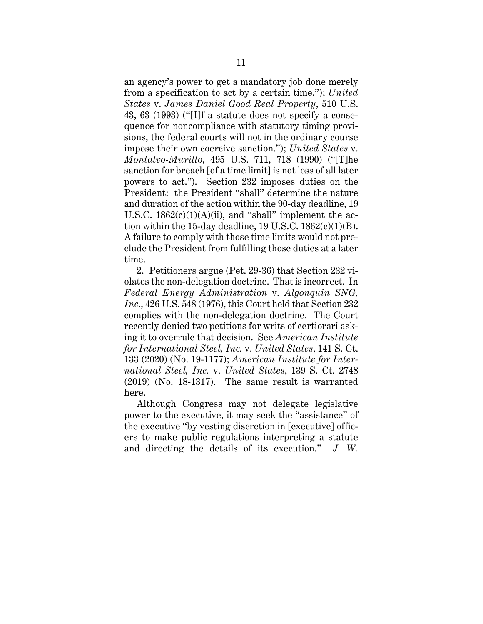an agency's power to get a mandatory job done merely from a specification to act by a certain time."); *United States* v. *James Daniel Good Real Property*, 510 U.S. 43, 63 (1993) ("[I]f a statute does not specify a consequence for noncompliance with statutory timing provisions, the federal courts will not in the ordinary course impose their own coercive sanction."); *United States* v. *Montalvo-Murillo*, 495 U.S. 711, 718 (1990) ("[T]he sanction for breach [of a time limit] is not loss of all later powers to act."). Section 232 imposes duties on the President: the President "shall" determine the nature and duration of the action within the 90-day deadline, 19 U.S.C.  $1862(c)(1)(A)(ii)$ , and "shall" implement the action within the 15-day deadline, 19 U.S.C.  $1862(c)(1)(B)$ . A failure to comply with those time limits would not preclude the President from fulfilling those duties at a later time.

2. Petitioners argue (Pet. 29-36) that Section 232 violates the non-delegation doctrine. That is incorrect. In *Federal Energy Administration* v. *Algonquin SNG, Inc*., 426 U.S. 548 (1976), this Court held that Section 232 complies with the non-delegation doctrine. The Court recently denied two petitions for writs of certiorari asking it to overrule that decision. See *American Institute for International Steel, Inc.* v. *United States*, 141 S. Ct. 133 (2020) (No. 19-1177); *American Institute for International Steel, Inc.* v. *United States*, 139 S. Ct. 2748 (2019) (No. 18-1317). The same result is warranted here.

Although Congress may not delegate legislative power to the executive, it may seek the "assistance" of the executive "by vesting discretion in [executive] officers to make public regulations interpreting a statute and directing the details of its execution." *J. W.*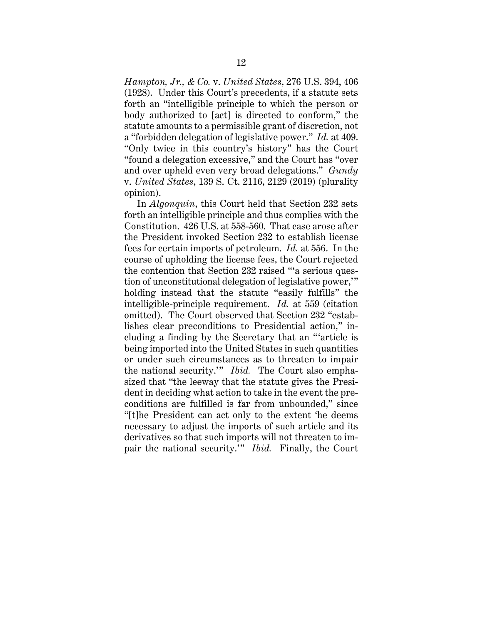*Hampton, Jr., & Co.* v. *United States*, 276 U.S. 394, 406 (1928). Under this Court's precedents, if a statute sets forth an "intelligible principle to which the person or body authorized to [act] is directed to conform," the statute amounts to a permissible grant of discretion, not a "forbidden delegation of legislative power." *Id.* at 409. "Only twice in this country's history" has the Court "found a delegation excessive," and the Court has "over and over upheld even very broad delegations." *Gundy*  v. *United States*, 139 S. Ct. 2116, 2129 (2019) (plurality opinion).

In *Algonquin*, this Court held that Section 232 sets forth an intelligible principle and thus complies with the Constitution. 426 U.S. at 558-560. That case arose after the President invoked Section 232 to establish license fees for certain imports of petroleum. *Id.* at 556. In the course of upholding the license fees, the Court rejected the contention that Section 232 raised "'a serious question of unconstitutional delegation of legislative power,'" holding instead that the statute "easily fulfills" the intelligible-principle requirement. *Id.* at 559 (citation omitted). The Court observed that Section 232 "establishes clear preconditions to Presidential action," including a finding by the Secretary that an "'article is being imported into the United States in such quantities or under such circumstances as to threaten to impair the national security.'" *Ibid.* The Court also emphasized that "the leeway that the statute gives the President in deciding what action to take in the event the preconditions are fulfilled is far from unbounded," since "[t]he President can act only to the extent 'he deems necessary to adjust the imports of such article and its derivatives so that such imports will not threaten to impair the national security.'" *Ibid.* Finally, the Court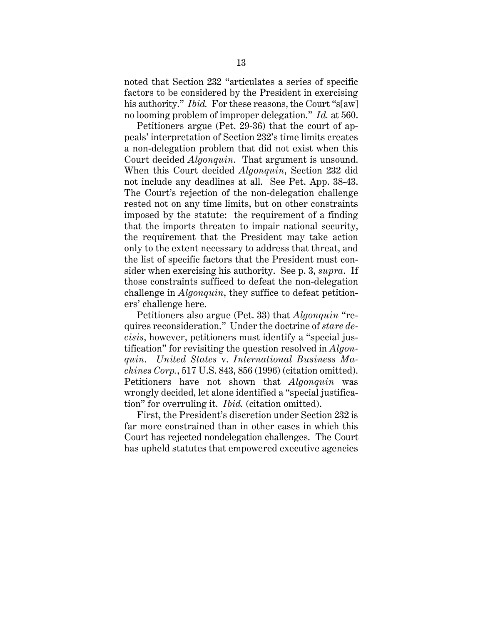noted that Section 232 "articulates a series of specific factors to be considered by the President in exercising his authority." *Ibid.* For these reasons, the Court "s[aw] no looming problem of improper delegation." *Id.* at 560.

Petitioners argue (Pet. 29-36) that the court of appeals' interpretation of Section 232's time limits creates a non-delegation problem that did not exist when this Court decided *Algonquin*. That argument is unsound. When this Court decided *Algonquin*, Section 232 did not include any deadlines at all. See Pet. App. 38-43. The Court's rejection of the non-delegation challenge rested not on any time limits, but on other constraints imposed by the statute: the requirement of a finding that the imports threaten to impair national security, the requirement that the President may take action only to the extent necessary to address that threat, and the list of specific factors that the President must consider when exercising his authority. See p. 3, *supra*. If those constraints sufficed to defeat the non-delegation challenge in *Algonquin*, they suffice to defeat petitioners' challenge here.

Petitioners also argue (Pet. 33) that *Algonquin* "requires reconsideration." Under the doctrine of *stare decisis*, however, petitioners must identify a "special justification" for revisiting the question resolved in *Algonquin*. *United States* v. *International Business Machines Corp.*, 517 U.S. 843, 856 (1996) (citation omitted). Petitioners have not shown that *Algonquin* was wrongly decided, let alone identified a "special justification" for overruling it. *Ibid.* (citation omitted).

First, the President's discretion under Section 232 is far more constrained than in other cases in which this Court has rejected nondelegation challenges. The Court has upheld statutes that empowered executive agencies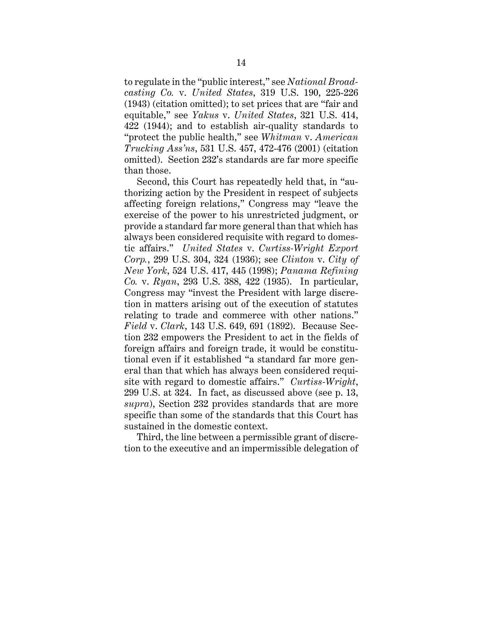to regulate in the "public interest," see *National Broadcasting Co.* v. *United States*, 319 U.S. 190, 225-226 (1943) (citation omitted); to set prices that are "fair and equitable," see *Yakus* v. *United States*, 321 U.S. 414, 422 (1944); and to establish air-quality standards to "protect the public health," see *Whitman* v. *American Trucking Ass'ns*, 531 U.S. 457, 472-476 (2001) (citation omitted). Section 232's standards are far more specific than those.

Second, this Court has repeatedly held that, in "authorizing action by the President in respect of subjects affecting foreign relations," Congress may "leave the exercise of the power to his unrestricted judgment, or provide a standard far more general than that which has always been considered requisite with regard to domestic affairs." *United States* v. *Curtiss-Wright Export Corp.*, 299 U.S. 304, 324 (1936); see *Clinton* v. *City of New York*, 524 U.S. 417, 445 (1998); *Panama Refining Co.* v. *Ryan*, 293 U.S. 388, 422 (1935). In particular, Congress may "invest the President with large discretion in matters arising out of the execution of statutes relating to trade and commerce with other nations." *Field* v. *Clark*, 143 U.S. 649, 691 (1892). Because Section 232 empowers the President to act in the fields of foreign affairs and foreign trade, it would be constitutional even if it established "a standard far more general than that which has always been considered requisite with regard to domestic affairs." *Curtiss-Wright*, 299 U.S. at 324. In fact, as discussed above (see p. 13, *supra*), Section 232 provides standards that are more specific than some of the standards that this Court has sustained in the domestic context.

Third, the line between a permissible grant of discretion to the executive and an impermissible delegation of